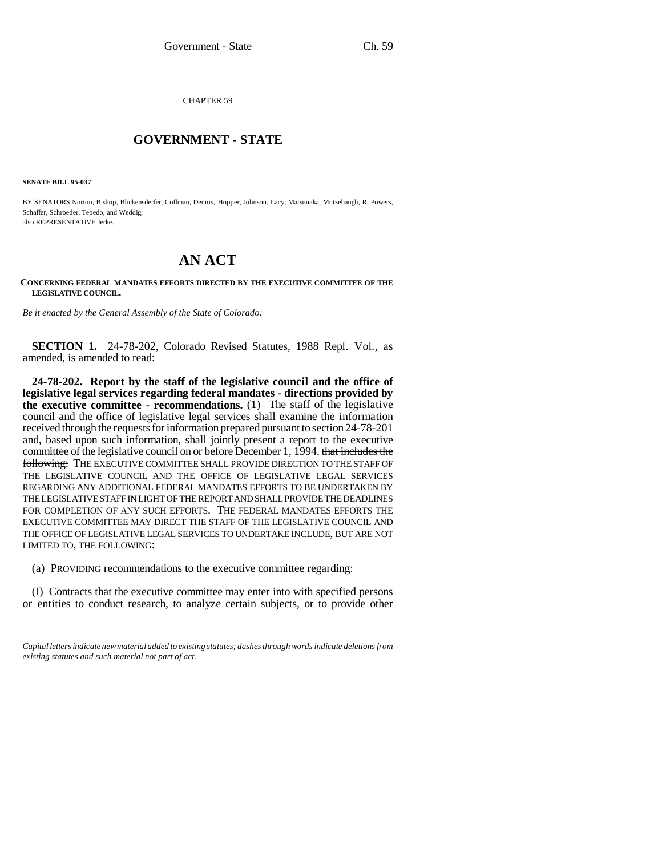CHAPTER 59

## \_\_\_\_\_\_\_\_\_\_\_\_\_\_\_ **GOVERNMENT - STATE** \_\_\_\_\_\_\_\_\_\_\_\_\_\_\_

**SENATE BILL 95-037**

BY SENATORS Norton, Bishop, Blickensderfer, Coffman, Dennis, Hopper, Johnson, Lacy, Matsunaka, Mutzebaugh, R. Powers, Schaffer, Schroeder, Tebedo, and Weddig; also REPRESENTATIVE Jerke.

## **AN ACT**

**CONCERNING FEDERAL MANDATES EFFORTS DIRECTED BY THE EXECUTIVE COMMITTEE OF THE LEGISLATIVE COUNCIL.**

*Be it enacted by the General Assembly of the State of Colorado:*

**SECTION 1.** 24-78-202, Colorado Revised Statutes, 1988 Repl. Vol., as amended, is amended to read:

LIMITED TO, THE FOLLOWING: **24-78-202. Report by the staff of the legislative council and the office of legislative legal services regarding federal mandates - directions provided by the executive committee - recommendations.** (1) The staff of the legislative council and the office of legislative legal services shall examine the information received through the requests for information prepared pursuant to section 24-78-201 and, based upon such information, shall jointly present a report to the executive committee of the legislative council on or before December 1, 1994. that includes the following: THE EXECUTIVE COMMITTEE SHALL PROVIDE DIRECTION TO THE STAFF OF THE LEGISLATIVE COUNCIL AND THE OFFICE OF LEGISLATIVE LEGAL SERVICES REGARDING ANY ADDITIONAL FEDERAL MANDATES EFFORTS TO BE UNDERTAKEN BY THE LEGISLATIVE STAFF IN LIGHT OF THE REPORT AND SHALL PROVIDE THE DEADLINES FOR COMPLETION OF ANY SUCH EFFORTS. THE FEDERAL MANDATES EFFORTS THE EXECUTIVE COMMITTEE MAY DIRECT THE STAFF OF THE LEGISLATIVE COUNCIL AND THE OFFICE OF LEGISLATIVE LEGAL SERVICES TO UNDERTAKE INCLUDE, BUT ARE NOT

(a) PROVIDING recommendations to the executive committee regarding:

(I) Contracts that the executive committee may enter into with specified persons or entities to conduct research, to analyze certain subjects, or to provide other

*Capital letters indicate new material added to existing statutes; dashes through words indicate deletions from existing statutes and such material not part of act.*